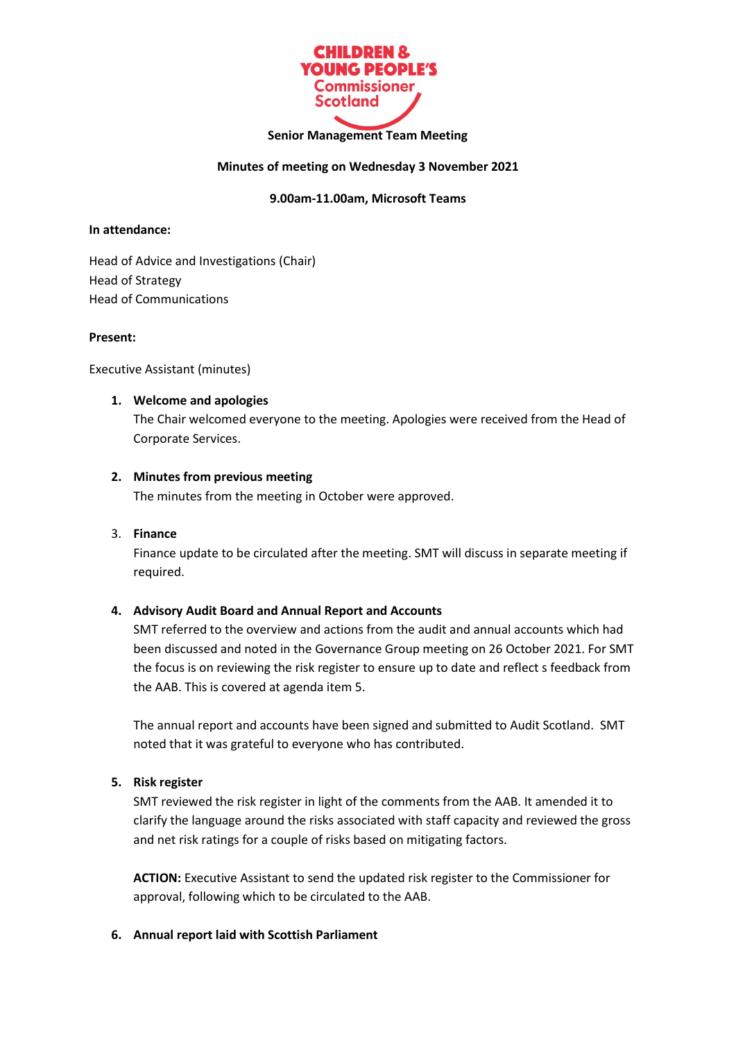

### **Senior Management Team Meeting**

### **Minutes of meeting on Wednesday 3 November 2021**

# **9.00am-11.00am, Microsoft Teams**

### **In attendance:**

Head of Advice and Investigations (Chair) Head of Strategy Head of Communications

#### **Present:**

Executive Assistant (minutes)

### **1. Welcome and apologies**

The Chair welcomed everyone to the meeting. Apologies were received from the Head of Corporate Services.

### **2. Minutes from previous meeting**

The minutes from the meeting in October were approved.

### 3. **Finance**

Finance update to be circulated after the meeting. SMT will discuss in separate meeting if required.

### **4. Advisory Audit Board and Annual Report and Accounts**

SMT referred to the overview and actions from the audit and annual accounts which had been discussed and noted in the Governance Group meeting on 26 October 2021. For SMT the focus is on reviewing the risk register to ensure up to date and reflect s feedback from the AAB. This is covered at agenda item 5.

The annual report and accounts have been signed and submitted to Audit Scotland. SMT noted that it was grateful to everyone who has contributed.

### **5. Risk register**

SMT reviewed the risk register in light of the comments from the AAB. It amended it to clarify the language around the risks associated with staff capacity and reviewed the gross and net risk ratings for a couple of risks based on mitigating factors.

**ACTION:** Executive Assistant to send the updated risk register to the Commissioner for approval, following which to be circulated to the AAB.

### **6. Annual report laid with Scottish Parliament**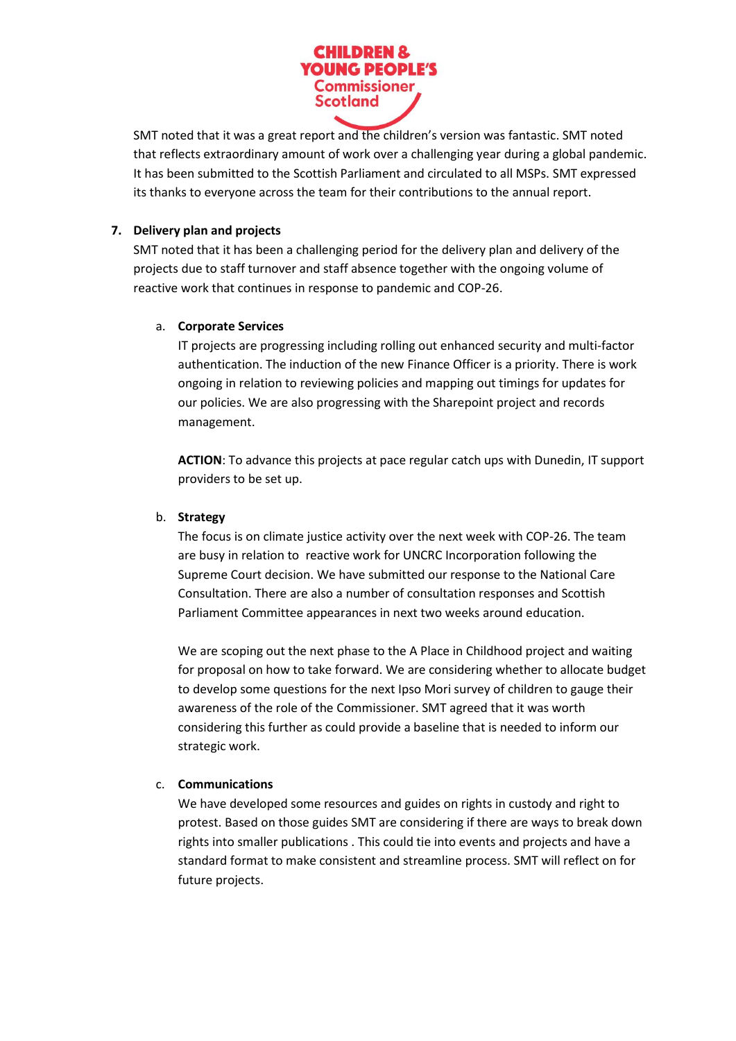

SMT noted that it was a great report and the children's version was fantastic. SMT noted that reflects extraordinary amount of work over a challenging year during a global pandemic. It has been submitted to the Scottish Parliament and circulated to all MSPs. SMT expressed its thanks to everyone across the team for their contributions to the annual report.

# **7. Delivery plan and projects**

SMT noted that it has been a challenging period for the delivery plan and delivery of the projects due to staff turnover and staff absence together with the ongoing volume of reactive work that continues in response to pandemic and COP-26.

# a. **Corporate Services**

IT projects are progressing including rolling out enhanced security and multi-factor authentication. The induction of the new Finance Officer is a priority. There is work ongoing in relation to reviewing policies and mapping out timings for updates for our policies. We are also progressing with the Sharepoint project and records management.

**ACTION**: To advance this projects at pace regular catch ups with Dunedin, IT support providers to be set up.

# b. **Strategy**

The focus is on climate justice activity over the next week with COP-26. The team are busy in relation to reactive work for UNCRC Incorporation following the Supreme Court decision. We have submitted our response to the National Care Consultation. There are also a number of consultation responses and Scottish Parliament Committee appearances in next two weeks around education.

We are scoping out the next phase to the A Place in Childhood project and waiting for proposal on how to take forward. We are considering whether to allocate budget to develop some questions for the next Ipso Mori survey of children to gauge their awareness of the role of the Commissioner. SMT agreed that it was worth considering this further as could provide a baseline that is needed to inform our strategic work.

# c. **Communications**

We have developed some resources and guides on rights in custody and right to protest. Based on those guides SMT are considering if there are ways to break down rights into smaller publications . This could tie into events and projects and have a standard format to make consistent and streamline process. SMT will reflect on for future projects.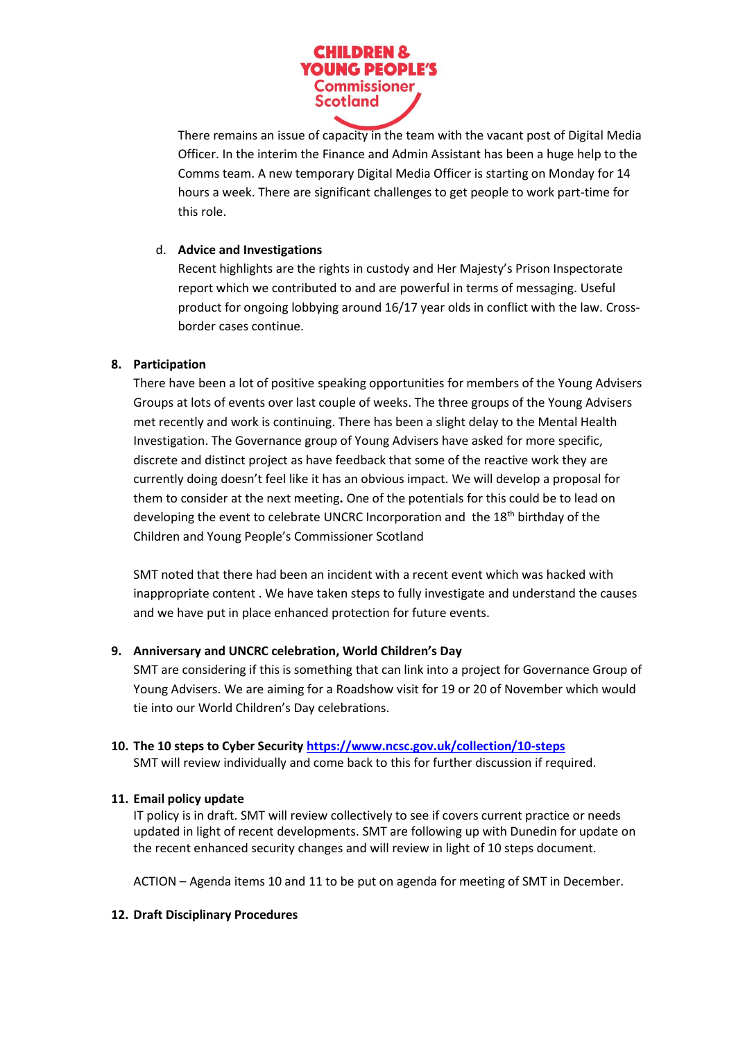

There remains an issue of capacity in the team with the vacant post of Digital Media Officer. In the interim the Finance and Admin Assistant has been a huge help to the Comms team. A new temporary Digital Media Officer is starting on Monday for 14 hours a week. There are significant challenges to get people to work part-time for this role.

# d. **Advice and Investigations**

Recent highlights are the rights in custody and Her Majesty's Prison Inspectorate report which we contributed to and are powerful in terms of messaging. Useful product for ongoing lobbying around 16/17 year olds in conflict with the law. Crossborder cases continue.

# **8. Participation**

There have been a lot of positive speaking opportunities for members of the Young Advisers Groups at lots of events over last couple of weeks. The three groups of the Young Advisers met recently and work is continuing. There has been a slight delay to the Mental Health Investigation. The Governance group of Young Advisers have asked for more specific, discrete and distinct project as have feedback that some of the reactive work they are currently doing doesn't feel like it has an obvious impact. We will develop a proposal for them to consider at the next meeting**.** One of the potentials for this could be to lead on developing the event to celebrate UNCRC Incorporation and the 18<sup>th</sup> birthday of the Children and Young People's Commissioner Scotland

SMT noted that there had been an incident with a recent event which was hacked with inappropriate content . We have taken steps to fully investigate and understand the causes and we have put in place enhanced protection for future events.

### **9. Anniversary and UNCRC celebration, World Children's Day**

SMT are considering if this is something that can link into a project for Governance Group of Young Advisers. We are aiming for a Roadshow visit for 19 or 20 of November which would tie into our World Children's Day celebrations.

### **10. The 10 steps to Cyber Security<https://www.ncsc.gov.uk/collection/10-steps>**

SMT will review individually and come back to this for further discussion if required.

# **11. Email policy update**

IT policy is in draft. SMT will review collectively to see if covers current practice or needs updated in light of recent developments. SMT are following up with Dunedin for update on the recent enhanced security changes and will review in light of 10 steps document.

ACTION – Agenda items 10 and 11 to be put on agenda for meeting of SMT in December.

### **12. Draft Disciplinary Procedures**